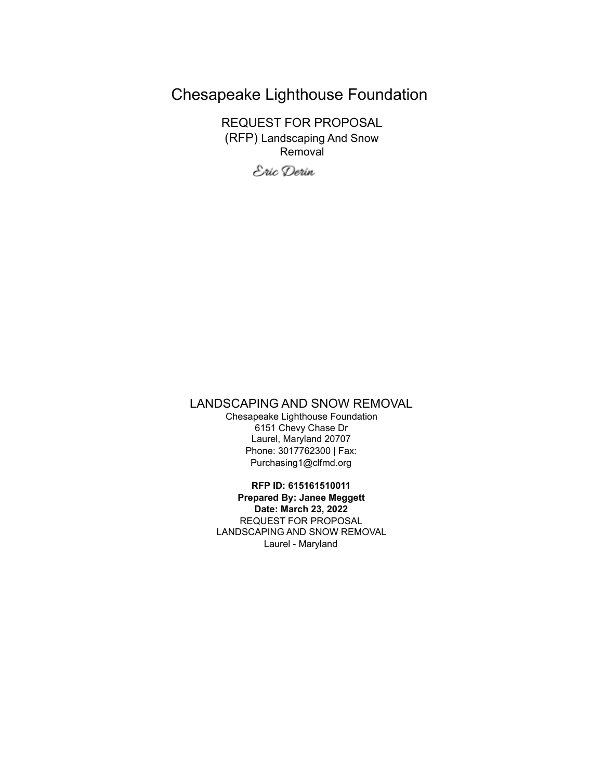# Chesapeake Lighthouse Foundation

REQUEST FOR PROPOSAL (RFP) Landscaping And Snow Removal

Eric Derin

## LANDSCAPING AND SNOW REMOVAL

Chesapeake Lighthouse Foundation 6151 Chevy Chase Dr Laurel, Maryland 20707 Phone: 3017762300 | Fax: Purchasing1@clfmd.org

**RFP ID: 615161510011 Prepared By: Janee Meggett Date: March 23, 2022** REQUEST FOR PROPOSAL LANDSCAPING AND SNOW REMOVAL

Laurel - Maryland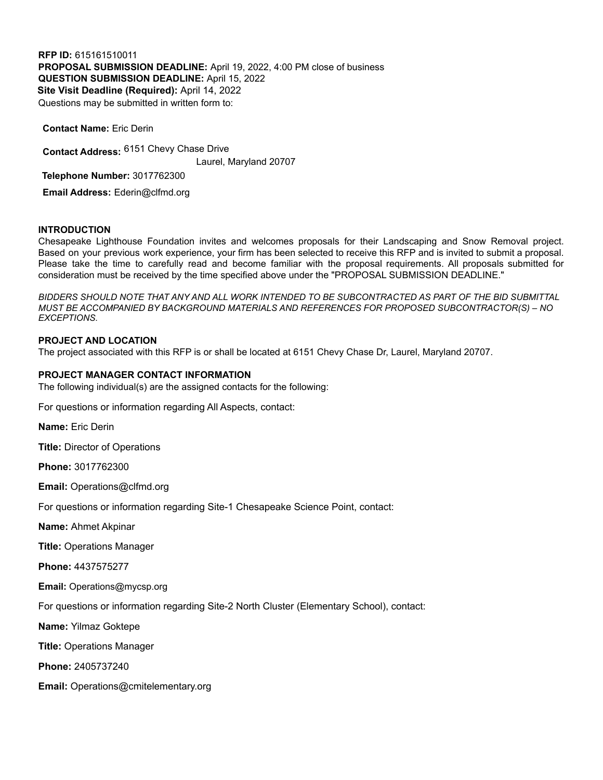**RFP ID:** 615161510011 **PROPOSAL SUBMISSION DEADLINE:** April 19, 2022, 4:00 PM close of business **QUESTION SUBMISSION DEADLINE:** April 15, 2022 **Site Visit Deadline (Required):** April 14, 2022 Questions may be submitted in written form to:

**Contact Address:** 6151 Chevy Chase Drive Laurel, Maryland 20707 **Telephone Number:** 3017762300 **Email Address:** Ederin@clfmd.org

#### **INTRODUCTION**

**Contact Name:** Eric Derin

Chesapeake Lighthouse Foundation invites and welcomes proposals for their Landscaping and Snow Removal project. Based on your previous work experience, your firm has been selected to receive this RFP and is invited to submit a proposal. Please take the time to carefully read and become familiar with the proposal requirements. All proposals submitted for consideration must be received by the time specified above under the "PROPOSAL SUBMISSION DEADLINE."

BIDDERS SHOULD NOTE THAT ANY AND ALL WORK INTENDED TO BE SUBCONTRACTED AS PART OF THE BID SUBMITTAL *MUST BE ACCOMPANIED BY BACKGROUND MATERIALS AND REFERENCES FOR PROPOSED SUBCONTRACTOR(S) – NO EXCEPTIONS.*

#### **PROJECT AND LOCATION**

The project associated with this RFP is or shall be located at 6151 Chevy Chase Dr, Laurel, Maryland 20707.

#### **PROJECT MANAGER CONTACT INFORMATION**

The following individual(s) are the assigned contacts for the following:

For questions or information regarding All Aspects, contact:

**Name:** Eric Derin

**Title:** Director of Operations

**Phone:** 3017762300

**Email:** Operations@clfmd.org

For questions or information regarding Site-1 Chesapeake Science Point, contact:

**Name:** Ahmet Akpinar

**Title:** Operations Manager

**Phone:** 4437575277

**Email:** Operations@mycsp.org

For questions or information regarding Site-2 North Cluster (Elementary School), contact:

**Name:** Yilmaz Goktepe

**Title:** Operations Manager

**Phone:** 2405737240

**Email:** Operations@cmitelementary.org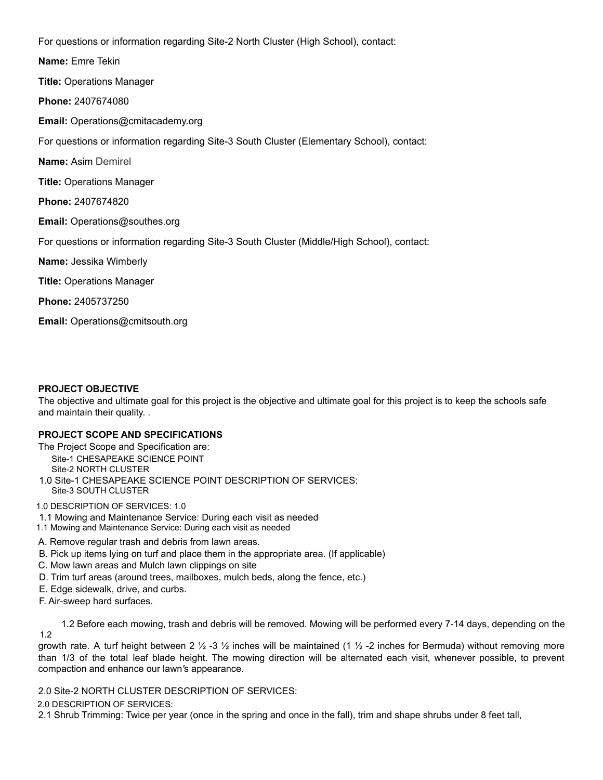For questions or information regarding Site-2 North Cluster (High School), contact:

**Name:** Emre Tekin

**Title:** Operations Manager

**Phone:** 2407674080

**Email:** Operations@cmitacademy.org

For questions or information regarding Site-3 South Cluster (Elementary School), contact:

**Name:** Asim Demirel

**Title:** Operations Manager

**Phone:** 2407674820

**Email:** Operations@southes.org

For questions or information regarding Site-3 South Cluster (Middle/High School), contact:

**Name:** Jessika Wimberly

**Title:** Operations Manager

**Phone:** 2405737250

**Email:** Operations@cmitsouth.org

## **PROJECT OBJECTIVE**

The objective and ultimate goal for this project is the objective and ultimate goal for this project is to keep the schools safe and maintain their quality. .

## **PROJECT SCOPE AND SPECIFICATIONS**

The Project Scope and Specification are: Site-1 CHESAPEAKE SCIENCE POINT Site-2 NORTH CLUSTER 1.0 Site-1 CHESAPEAKE SCIENCE POINT DESCRIPTION OF SERVICES: Site-3 SOUTH CLUSTER

1.0 DESCRIPTION OF SERVICES: 1.0

- 1.1 Mowing and Maintenance Service: During each visit as needed
- 1.1 Mowing and Maintenance Service: During each visit as needed

## A. Remove regular trash and debris from lawn areas.

- B. Pick up items lying on turf and place them in the appropriate area. (If applicable)
- C. Mow lawn areas and Mulch lawn clippings on site
- D. Trim turf areas (around trees, mailboxes, mulch beds, along the fence, etc.)
- E. Edge sidewalk, drive, and curbs.
- F. Air-sweep hard surfaces.

1.2 Before each mowing, trash and debris will be removed. Mowing will be performed every 7-14 days, depending on the 1.2

growth rate. A turf height between 2 ½ -3 ½ inches will be maintained (1 ½ -2 inches for Bermuda) without removing more than 1/3 of the total leaf blade height. The mowing direction will be alternated each visit, whenever possible, to prevent compaction and enhance our lawn*'*s appearance.

2.0 Site-2 NORTH CLUSTER DESCRIPTION OF SERVICES:

2.0 DESCRIPTION OF SERVICES:

2.1 Shrub Trimming: Twice per year (once in the spring and once in the fall), trim and shape shrubs under 8 feet tall,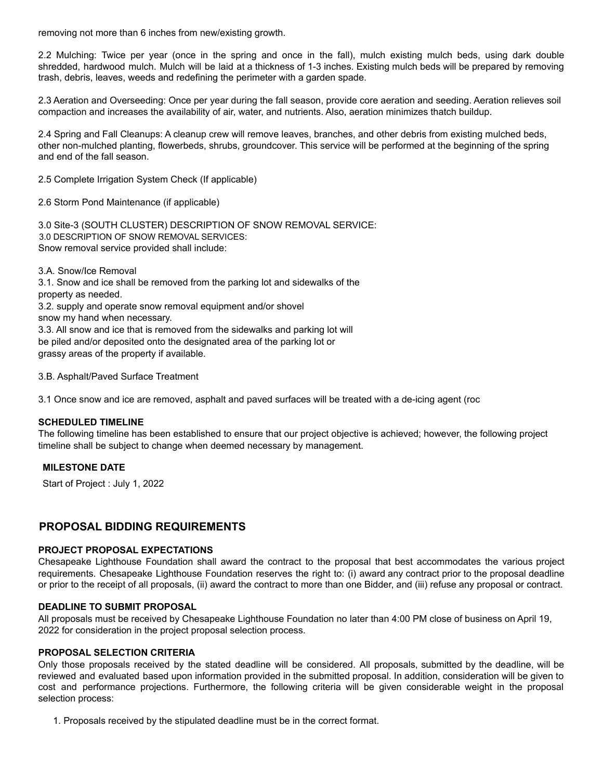removing not more than 6 inches from new/existing growth.

2.2 Mulching: Twice per year (once in the spring and once in the fall), mulch existing mulch beds, using dark double shredded, hardwood mulch. Mulch will be laid at a thickness of 1-3 inches. Existing mulch beds will be prepared by removing trash, debris, leaves, weeds and redefining the perimeter with a garden spade.

2.3 Aeration and Overseeding: Once per year during the fall season, provide core aeration and seeding. Aeration relieves soil compaction and increases the availability of air, water, and nutrients. Also, aeration minimizes thatch buildup.

2.4 Spring and Fall Cleanups: A cleanup crew will remove leaves, branches, and other debris from existing mulched beds, other non-mulched planting, flowerbeds, shrubs, groundcover. This service will be performed at the beginning of the spring and end of the fall season.

2.5 Complete Irrigation System Check (If applicable)

2.6 Storm Pond Maintenance (if applicable)

3.0 Site-3 (SOUTH CLUSTER) DESCRIPTION OF SNOW REMOVAL SERVICE: 3.0 DESCRIPTION OF SNOW REMOVAL SERVICES: Snow removal service provided shall include:

3.A. Snow/Ice Removal

3.1. Snow and ice shall be removed from the parking lot and sidewalks of the property as needed.

3.2. supply and operate snow removal equipment and/or shovel

snow my hand when necessary.

3.3. All snow and ice that is removed from the sidewalks and parking lot will be piled and/or deposited onto the designated area of the parking lot or grassy areas of the property if available.

3.B. Asphalt/Paved Surface Treatment

3.1 Once snow and ice are removed, asphalt and paved surfaces will be treated with a de-icing agent (roc

## **SCHEDULED TIMELINE**

The following timeline has been established to ensure that our project objective is achieved; however, the following project timeline shall be subject to change when deemed necessary by management.

## **MILESTONE DATE**

Start of Project : July 1, 2022

## **PROPOSAL BIDDING REQUIREMENTS**

#### **PROJECT PROPOSAL EXPECTATIONS**

Chesapeake Lighthouse Foundation shall award the contract to the proposal that best accommodates the various project requirements. Chesapeake Lighthouse Foundation reserves the right to: (i) award any contract prior to the proposal deadline or prior to the receipt of all proposals, (ii) award the contract to more than one Bidder, and (iii) refuse any proposal or contract.

## **DEADLINE TO SUBMIT PROPOSAL**

All proposals must be received by Chesapeake Lighthouse Foundation no later than 4:00 PM close of business on April 19, 2022 for consideration in the project proposal selection process.

## **PROPOSAL SELECTION CRITERIA**

Only those proposals received by the stated deadline will be considered. All proposals, submitted by the deadline, will be reviewed and evaluated based upon information provided in the submitted proposal. In addition, consideration will be given to cost and performance projections. Furthermore, the following criteria will be given considerable weight in the proposal selection process:

1. Proposals received by the stipulated deadline must be in the correct format.